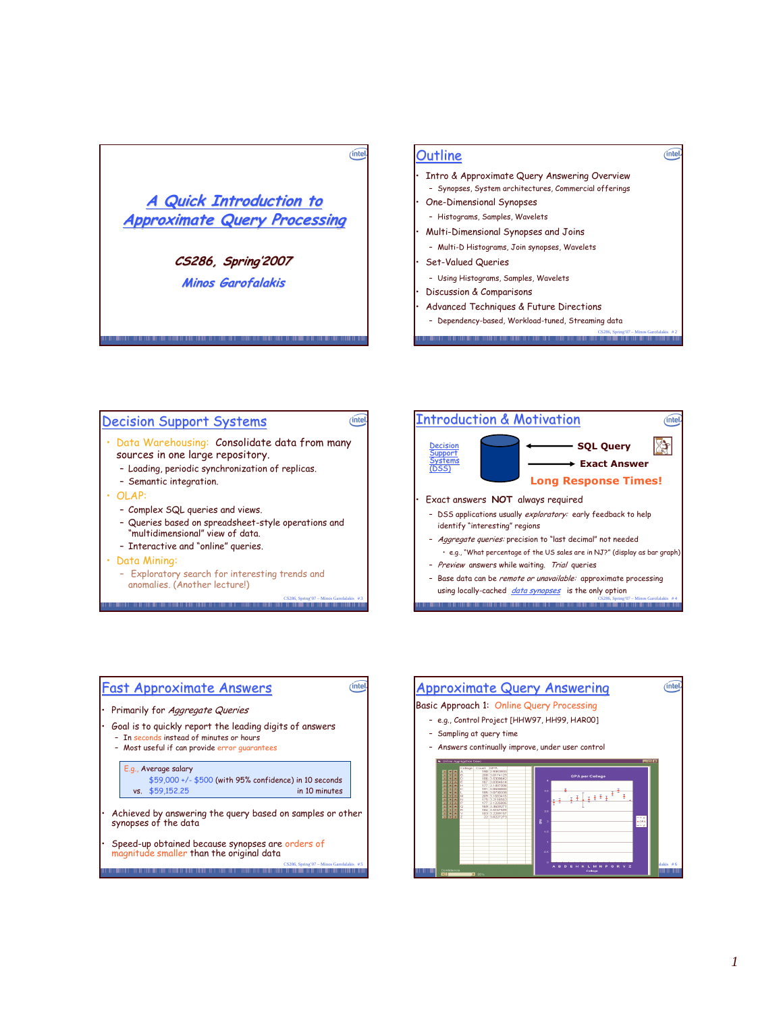

### <u>Outline</u>

• Intro & Approximate Query Answering Overview - Synopses, System architectures, Commercial offerings  $(inte)$ 

- **One-Dimensional Synopses**
- Histograms, Samples, Wavelets
- $\cdot$  Multi-Dimensional Synopses and Joins
	- Multi-D Histograms, Join synopses, Wavelets
- $\cdot$  Set-Valued Queries
	- Using Histograms, Samples, Wavelets
- Discussion & Comparisons
- Advanced Techniques & Future Directions
	- CS286, Spring'07 Minos Garofalakis # 2 - Dependency-based, Workload-tuned, Streaming data

## <u> Decision Support Systems</u>

- $\cdot$  Data Warehousing:  $\,$  Consolidate data from many sources in one large repository.
	- Loading, periodic synchronization of replicas.
	- Semantic integration.
- $\cdot$  OLAP:
	- Complex SQL queries and views.
	- Queries based on spreadsheet-style operations and "multidimensional" view of data.

CS286, Spring'07 – Minos Garofalakis # 3

(intel)

- Interactive and "online" queries.
- · Data Mining:
	- Exploratory search for interesting trends and anomalies. (Another lecture!)





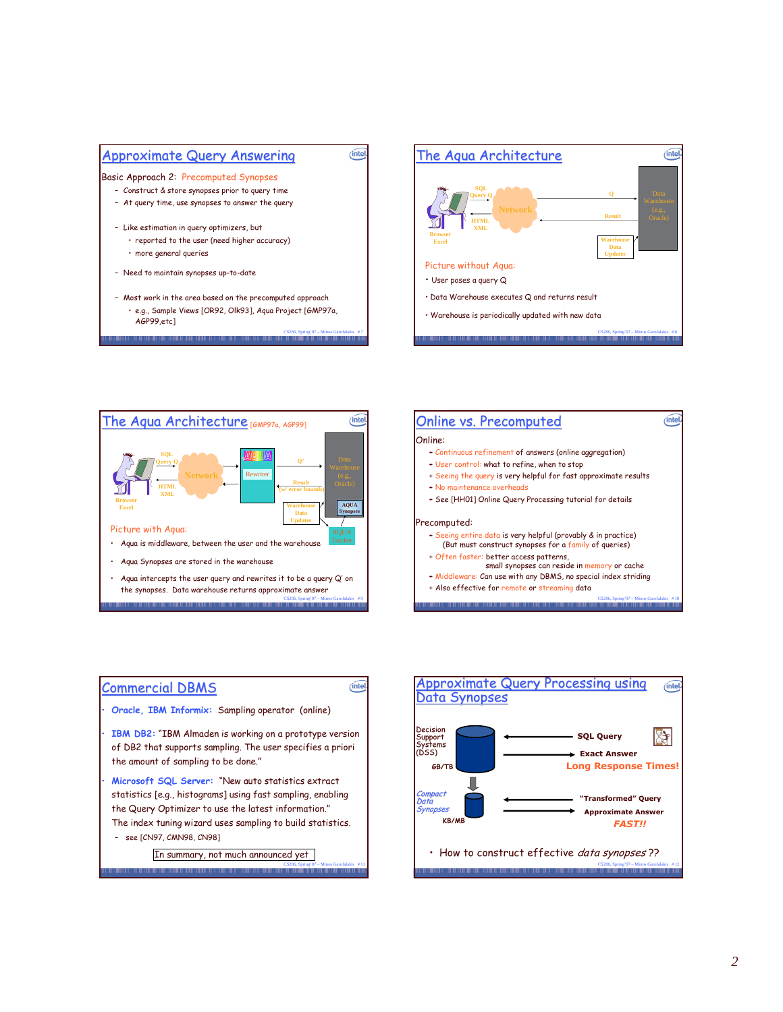









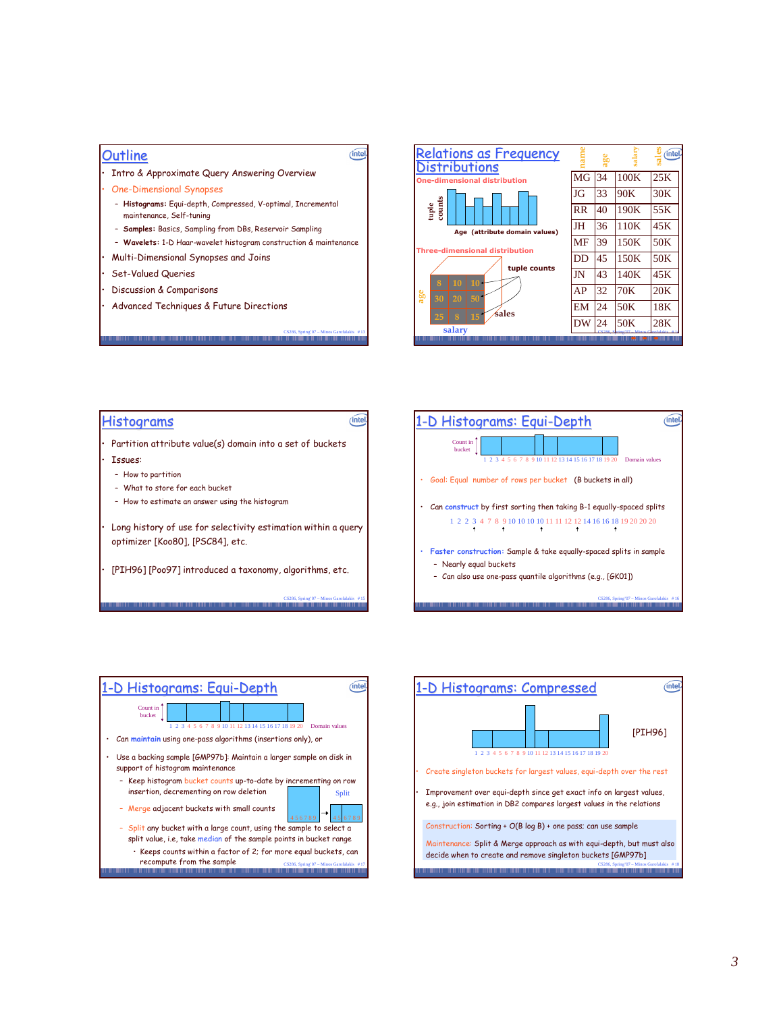# <u>Outline</u>

· Intro & Approximate Query Answering Overview

- **One-Dimensional Synopses**
- **Histograms:** Equi-depth, Compressed, V-optimal, Incremental maintenance, Self-tuning
- **Samples:** Basics, Sampling from DBs, Reservoir Sampling
- Wavelets: 1-D Haar-wavelet histogram construction & maintenance
- $\cdot$  Multi-Dimensional Synopses and Joins
- Set-Valued Queries
- Discussion & Comparisons
- Advanced Techniques & Future Directions



#### $(intel)$  $(intel)$ <u>Histograms</u> <u>1-D Histograms: Equi-Depth</u> Count in bucket • Partition attribute value(s) domain into a set of buckets  $\cdot$ 1 2 3 4 5 6 7 8 9 10 11 12 13 14 15 16 17 18 19 20 Domain values • Issues: - How to partition  $\cdot$  Goal: Equal number of rows per bucket  $($  B buckets in all) - What to store for each bucket -  $\,$  How to estimate an answer using the histogran • Can construct by first sorting then taking B-1 equally-spaced splits 1 2 2 3 4 7 8 9 10 10 10 10 11 11 12 12 14 16 16 18 19 20 20 20  $\cdot$  Long history of use for selectivity estimation within a query optimizer [Koo80], [PSC84], etc.  $\cdot$  Faster construction: Sample & take equally-spaced splits in sample – Nearly equal buckets  $\cdot$  [PIH96] [Poo97] introduced a taxonomy, algorithms, etc. – Can also use one-pass quantile algorithms (e.g., [GK01]) CS286, Spring'07 – Minos Garofalakis # 15 CS286, Spring'07 - Minos Garofalakis # 16

CS286, Spring'07 – Minos Garofalakis # 13

(intel



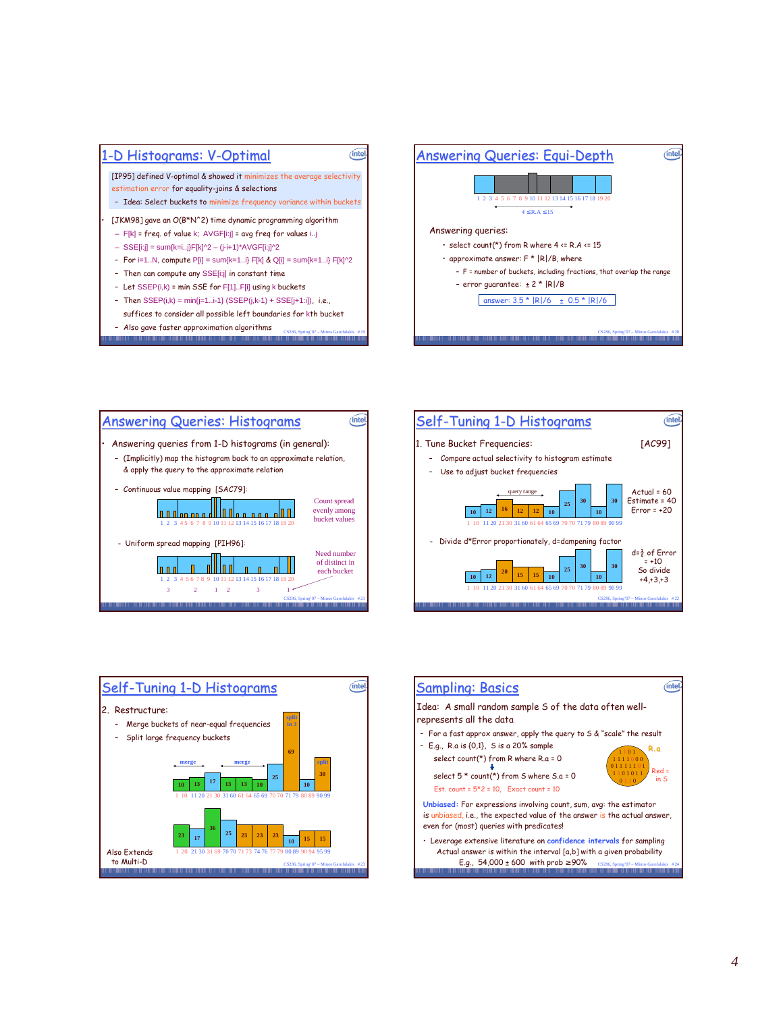